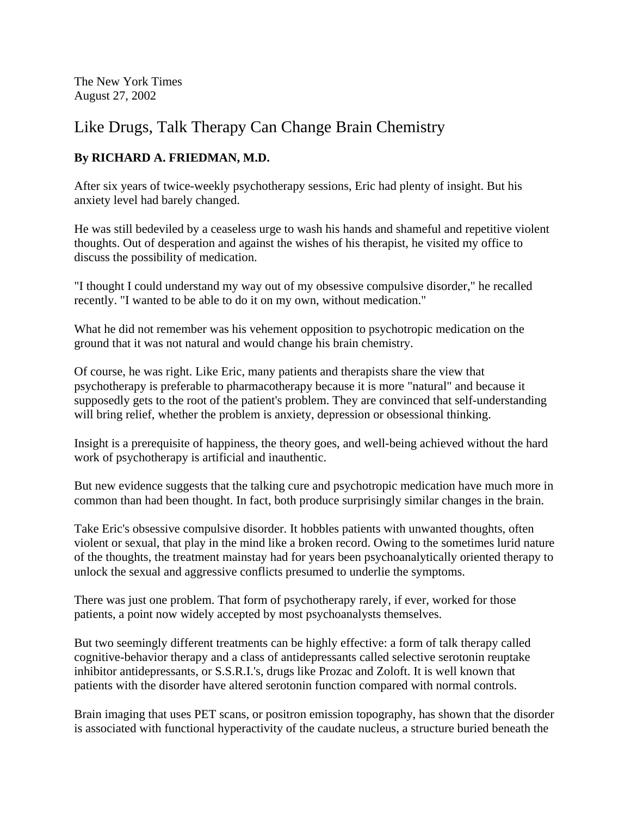The New York Times August 27, 2002

## Like Drugs, Talk Therapy Can Change Brain Chemistry

## **By RICHARD A. FRIEDMAN, M.D.**

After six years of twice-weekly psychotherapy sessions, Eric had plenty of insight. But his anxiety level had barely changed.

He was still bedeviled by a ceaseless urge to wash his hands and shameful and repetitive violent thoughts. Out of desperation and against the wishes of his therapist, he visited my office to discuss the possibility of medication.

"I thought I could understand my way out of my obsessive compulsive disorder," he recalled recently. "I wanted to be able to do it on my own, without medication."

What he did not remember was his vehement opposition to psychotropic medication on the ground that it was not natural and would change his brain chemistry.

Of course, he was right. Like Eric, many patients and therapists share the view that psychotherapy is preferable to pharmacotherapy because it is more "natural" and because it supposedly gets to the root of the patient's problem. They are convinced that self-understanding will bring relief, whether the problem is anxiety, depression or obsessional thinking.

Insight is a prerequisite of happiness, the theory goes, and well-being achieved without the hard work of psychotherapy is artificial and inauthentic.

But new evidence suggests that the talking cure and psychotropic medication have much more in common than had been thought. In fact, both produce surprisingly similar changes in the brain.

Take Eric's obsessive compulsive disorder. It hobbles patients with unwanted thoughts, often violent or sexual, that play in the mind like a broken record. Owing to the sometimes lurid nature of the thoughts, the treatment mainstay had for years been psychoanalytically oriented therapy to unlock the sexual and aggressive conflicts presumed to underlie the symptoms.

There was just one problem. That form of psychotherapy rarely, if ever, worked for those patients, a point now widely accepted by most psychoanalysts themselves.

But two seemingly different treatments can be highly effective: a form of talk therapy called cognitive-behavior therapy and a class of antidepressants called selective serotonin reuptake inhibitor antidepressants, or S.S.R.I.'s, drugs like Prozac and Zoloft. It is well known that patients with the disorder have altered serotonin function compared with normal controls.

Brain imaging that uses PET scans, or positron emission topography, has shown that the disorder is associated with functional hyperactivity of the caudate nucleus, a structure buried beneath the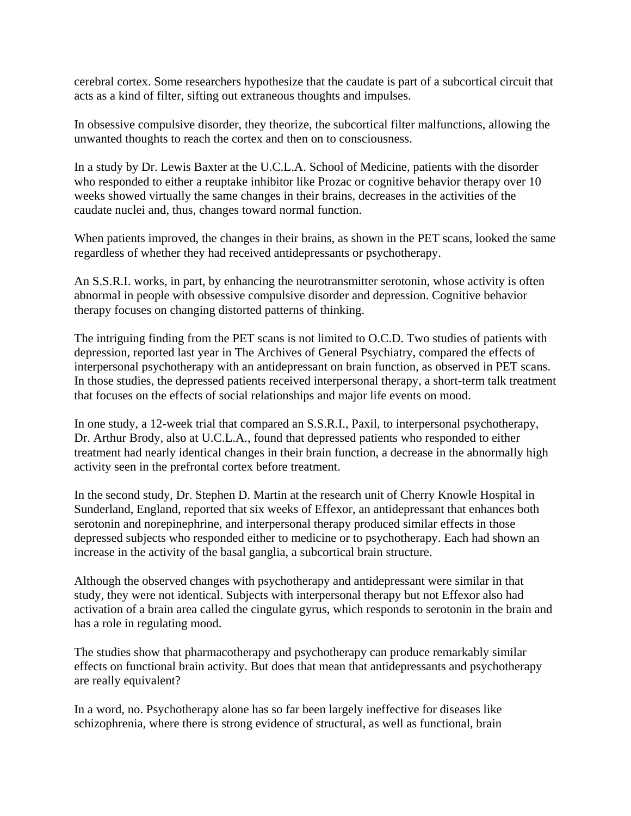cerebral cortex. Some researchers hypothesize that the caudate is part of a subcortical circuit that acts as a kind of filter, sifting out extraneous thoughts and impulses.

In obsessive compulsive disorder, they theorize, the subcortical filter malfunctions, allowing the unwanted thoughts to reach the cortex and then on to consciousness.

In a study by Dr. Lewis Baxter at the U.C.L.A. School of Medicine, patients with the disorder who responded to either a reuptake inhibitor like Prozac or cognitive behavior therapy over 10 weeks showed virtually the same changes in their brains, decreases in the activities of the caudate nuclei and, thus, changes toward normal function.

When patients improved, the changes in their brains, as shown in the PET scans, looked the same regardless of whether they had received antidepressants or psychotherapy.

An S.S.R.I. works, in part, by enhancing the neurotransmitter serotonin, whose activity is often abnormal in people with obsessive compulsive disorder and depression. Cognitive behavior therapy focuses on changing distorted patterns of thinking.

The intriguing finding from the PET scans is not limited to O.C.D. Two studies of patients with depression, reported last year in The Archives of General Psychiatry, compared the effects of interpersonal psychotherapy with an antidepressant on brain function, as observed in PET scans. In those studies, the depressed patients received interpersonal therapy, a short-term talk treatment that focuses on the effects of social relationships and major life events on mood.

In one study, a 12-week trial that compared an S.S.R.I., Paxil, to interpersonal psychotherapy, Dr. Arthur Brody, also at U.C.L.A., found that depressed patients who responded to either treatment had nearly identical changes in their brain function, a decrease in the abnormally high activity seen in the prefrontal cortex before treatment.

In the second study, Dr. Stephen D. Martin at the research unit of Cherry Knowle Hospital in Sunderland, England, reported that six weeks of Effexor, an antidepressant that enhances both serotonin and norepinephrine, and interpersonal therapy produced similar effects in those depressed subjects who responded either to medicine or to psychotherapy. Each had shown an increase in the activity of the basal ganglia, a subcortical brain structure.

Although the observed changes with psychotherapy and antidepressant were similar in that study, they were not identical. Subjects with interpersonal therapy but not Effexor also had activation of a brain area called the cingulate gyrus, which responds to serotonin in the brain and has a role in regulating mood.

The studies show that pharmacotherapy and psychotherapy can produce remarkably similar effects on functional brain activity. But does that mean that antidepressants and psychotherapy are really equivalent?

In a word, no. Psychotherapy alone has so far been largely ineffective for diseases like schizophrenia, where there is strong evidence of structural, as well as functional, brain